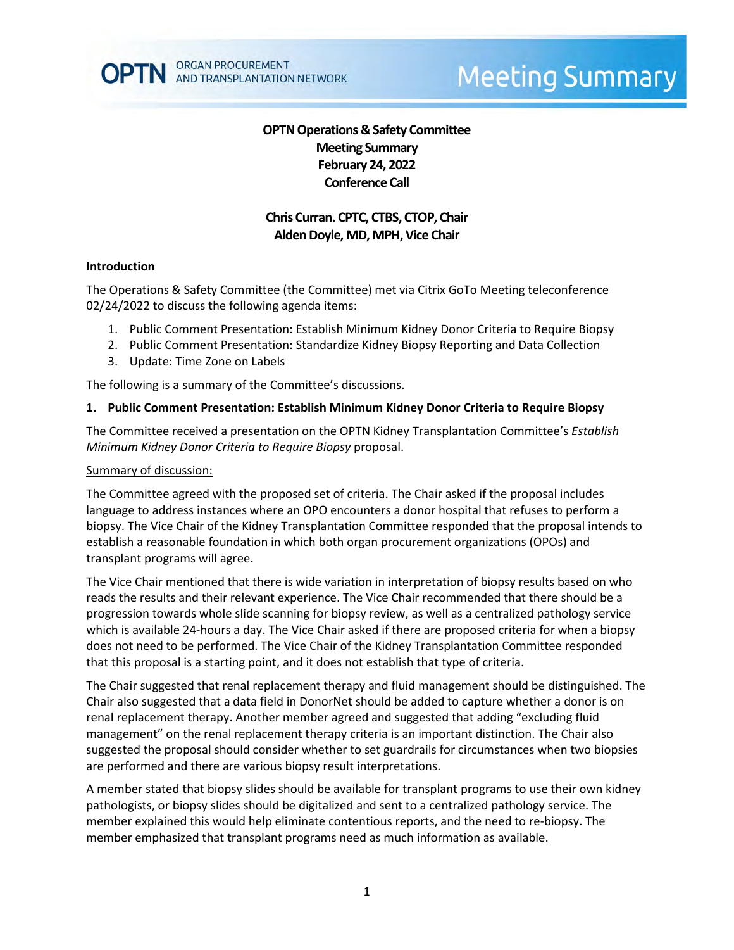# **Meeting Summary**

# **OPTN Operations & Safety Committee Meeting Summary February 24, 2022 Conference Call**

# **Chris Curran. CPTC, CTBS, CTOP, Chair** Alden Doyle, MD, MPH, Vice Chair

#### **Introduction**

The Operations & Safety Committee (the Committee) met via Citrix GoTo Meeting teleconference 02/24/2022 to discuss the following agenda items:

- 1. Public Comment Presentation: Establish Minimum Kidney Donor Criteria to Require Biopsy
- 2. Public Comment Presentation: Standardize Kidney Biopsy Reporting and Data Collection
- 3. Update: Time Zone on Labels

The following is a summary of the Committee's discussions.

#### **1. Public Comment Presentation: Establish Minimum Kidney Donor Criteria to Require Biopsy**

The Committee received a presentation on the OPTN Kidney Transplantation Committee's *Establish Minimum Kidney Donor Criteria to Require Biopsy* proposal.

#### Summary of discussion:

The Committee agreed with the proposed set of criteria. The Chair asked if the proposal includes language to address instances where an OPO encounters a donor hospital that refuses to perform a biopsy. The Vice Chair of the Kidney Transplantation Committee responded that the proposal intends to establish a reasonable foundation in which both organ procurement organizations (OPOs) and transplant programs will agree.

The Vice Chair mentioned that there is wide variation in interpretation of biopsy results based on who reads the results and their relevant experience. The Vice Chair recommended that there should be a progression towards whole slide scanning for biopsy review, as well as a centralized pathology service which is available 24-hours a day. The Vice Chair asked if there are proposed criteria for when a biopsy does not need to be performed. The Vice Chair of the Kidney Transplantation Committee responded that this proposal is a starting point, and it does not establish that type of criteria.

The Chair suggested that renal replacement therapy and fluid management should be distinguished. The Chair also suggested that a data field in DonorNet should be added to capture whether a donor is on renal replacement therapy. Another member agreed and suggested that adding "excluding fluid management" on the renal replacement therapy criteria is an important distinction. The Chair also suggested the proposal should consider whether to set guardrails for circumstances when two biopsies are performed and there are various biopsy result interpretations.

A member stated that biopsy slides should be available for transplant programs to use their own kidney pathologists, or biopsy slides should be digitalized and sent to a centralized pathology service. The member explained this would help eliminate contentious reports, and the need to re-biopsy. The member emphasized that transplant programs need as much information as available.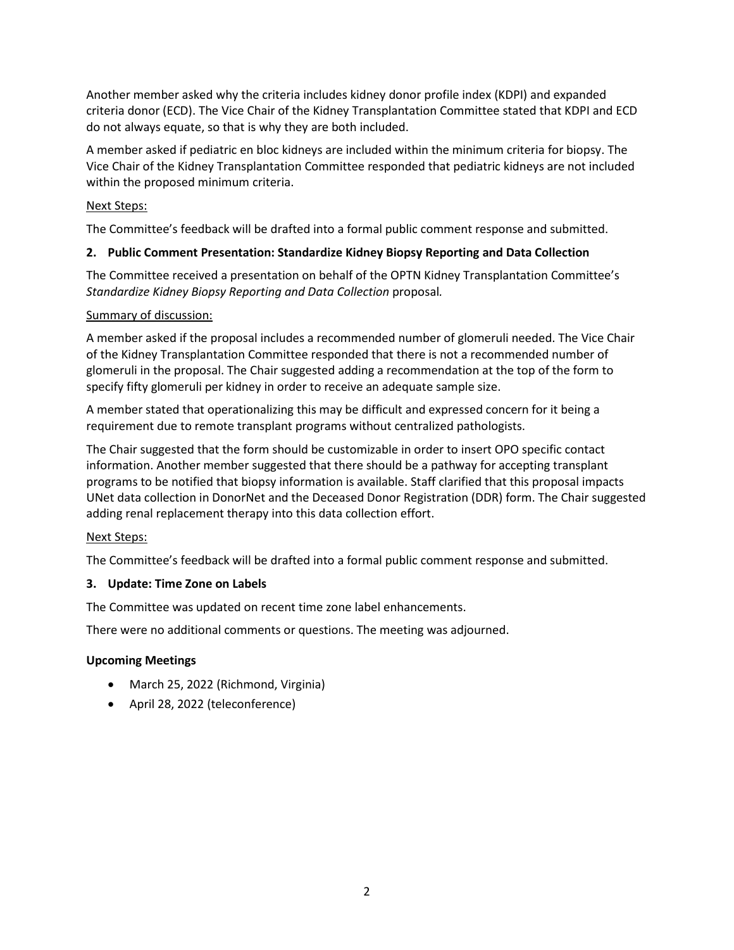Another member asked why the criteria includes kidney donor profile index (KDPI) and expanded criteria donor (ECD). The Vice Chair of the Kidney Transplantation Committee stated that KDPI and ECD do not always equate, so that is why they are both included.

A member asked if pediatric en bloc kidneys are included within the minimum criteria for biopsy. The Vice Chair of the Kidney Transplantation Committee responded that pediatric kidneys are not included within the proposed minimum criteria.

## Next Steps:

The Committee's feedback will be drafted into a formal public comment response and submitted.

### **2. Public Comment Presentation: Standardize Kidney Biopsy Reporting and Data Collection**

The Committee received a presentation on behalf of the OPTN Kidney Transplantation Committee's *Standardize Kidney Biopsy Reporting and Data Collection* proposal*.* 

#### Summary of discussion:

A member asked if the proposal includes a recommended number of glomeruli needed. The Vice Chair of the Kidney Transplantation Committee responded that there is not a recommended number of glomeruli in the proposal. The Chair suggested adding a recommendation at the top of the form to specify fifty glomeruli per kidney in order to receive an adequate sample size.

A member stated that operationalizing this may be difficult and expressed concern for it being a requirement due to remote transplant programs without centralized pathologists.

The Chair suggested that the form should be customizable in order to insert OPO specific contact information. Another member suggested that there should be a pathway for accepting transplant programs to be notified that biopsy information is available. Staff clarified that this proposal impacts UNet data collection in DonorNet and the Deceased Donor Registration (DDR) form. The Chair suggested adding renal replacement therapy into this data collection effort.

#### Next Steps:

The Committee's feedback will be drafted into a formal public comment response and submitted.

#### **3. Update: Time Zone on Labels**

The Committee was updated on recent time zone label enhancements.

There were no additional comments or questions. The meeting was adjourned.

#### **Upcoming Meetings**

- March 25, 2022 (Richmond, Virginia)
- April 28, 2022 (teleconference)